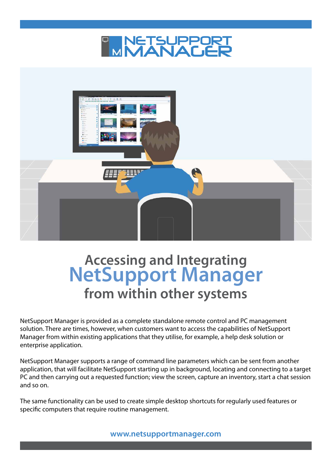



# **Accessing and Integrating NetSupport Manager from within other systems**

NetSupport Manager is provided as a complete standalone remote control and PC management solution. There are times, however, when customers want to access the capabilities of NetSupport Manager from within existing applications that they utilise, for example, a help desk solution or enterprise application.

NetSupport Manager supports a range of command line parameters which can be sent from another application, that will facilitate NetSupport starting up in background, locating and connecting to a target PC and then carrying out a requested function; view the screen, capture an inventory, start a chat session and so on.

The same functionality can be used to create simple desktop shortcuts for regularly used features or specific computers that require routine management.

**[www.netsupportmanager.com](http://www.netsupportschool.com/tablets.asp)**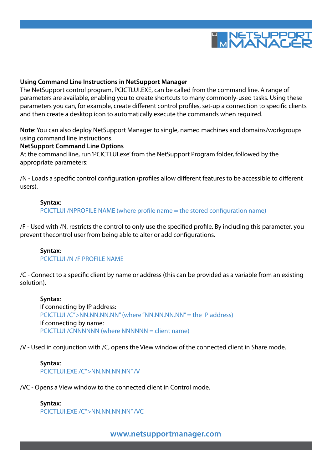

#### **Using Command Line Instructions in NetSupport Manager**

The NetSupport control program, PCICTLUI.EXE, can be called from the command line. A range of parameters are available, enabling you to create shortcuts to many commonly-used tasks. Using these parameters you can, for example, create different control profiles, set-up a connection to specific clients and then create a desktop icon to automatically execute the commands when required.

**Note**: You can also deploy NetSupport Manager to single, named machines and domains/workgroups using command line instructions.

# **NetSupport Command Line Options**

At the command line, run 'PCICTLUI.exe' from the NetSupport Program folder, followed by the appropriate parameters:

/N - Loads a specific control configuration (profiles allow different features to be accessible to different users).

#### **Syntax**:

PCICTLUI /NPROFILE NAME (where profile name = the stored configuration name)

/F - Used with /N, restricts the control to only use the specified profile. By including this parameter, you prevent thecontrol user from being able to alter or add configurations.

#### **Syntax**: PCICTLUI /N /F PROFILE NAME

/C - Connect to a specific client by name or address (this can be provided as a variable from an existing solution).

**Syntax**: If connecting by IP address: PCICTLUI /C">NN.NN.NN.NN" (where "NN.NN.NN.NN" = the IP address) If connecting by name: PCICTLUI /CNNNNNN (where NNNNNN = client name)

/V - Used in conjunction with /C, opens the View window of the connected client in Share mode.

# **Syntax**: PCICTLUI.EXE /C">NN.NN.NN.NN" /V

/VC - Opens a View window to the connected client in Control mode.

#### **Syntax**:

PCICTLUI.EXE /C">NN.NN.NN.NN" /VC

**[www.netsupportmanager.com](http://www.netsupportschool.com/tablets.asp)**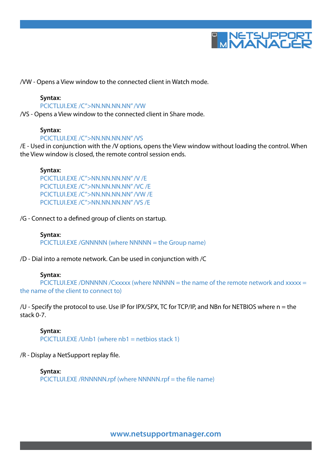

/VW - Opens a View window to the connected client in Watch mode.

# **Syntax**:

#### PCICTLUI.EXE /C">NN.NN.NN.NN" /VW

/VS - Opens a View window to the connected client in Share mode.

## **Syntax**:

#### PCICTLUI.EXE /C">NN.NN.NN.NN" /VS

/E - Used in conjunction with the /V options, opens the View window without loading the control. When the View window is closed, the remote control session ends.

#### **Syntax**:

PCICTLUI.EXE /C">NN.NN.NN.NN" /V /E PCICTLUI.EXE /C">NN.NN.NN.NN" /VC /E PCICTLUI.EXE /C">NN.NN.NN.NN" /VW /E PCICTLUI.EXE /C">NN.NN.NN.NN" /VS /E

/G - Connect to a defined group of clients on startup.

#### **Syntax**:

PCICTLUI.EXE /GNNNNN (where NNNNN = the Group name)

/D - Dial into a remote network. Can be used in conjunction with /C

#### **Syntax**:

PCICTLUI.EXE /DNNNNN /Cxxxxx (where NNNNN = the name of the remote network and xxxxx = the name of the client to connect to)

/U - Specify the protocol to use. Use IP for IPX/SPX, TC for TCP/IP, and NBn for NETBIOS where n = the stack 0-7.

**Syntax**: PCICTLUI.EXE / Unb1 (where  $nb1 = netbios stack 1$ )

## /R - Display a NetSupport replay file.

**Syntax**: PCICTLUI.EXE /RNNNNN.rpf (where NNNNN.rpf = the file name)